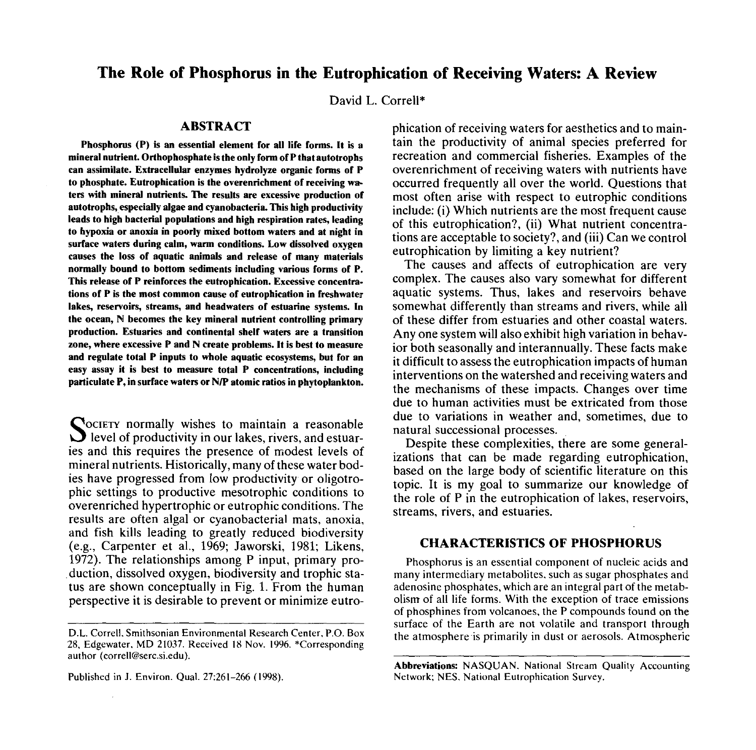# **The Role of Phosphorus in the Eutrophication of Receiving Waters: A Review**

David L. Correll\*

## **ABSTRACT**

**Phosphorus (P) is an essential element for all life forms. It is a mineral nutrient. Orthophosphate is the only form of P that autotrophs can assimilate. Extracellular enzymes hydrolyze organic forms of P to phosphate. Eutrophication is the overenrichment of receiving waters with mineral nutrients. The results are excessive production of autotrophs, especially algae and cyanobacteria. This high productivity leads to high bacterial populations and high respiration rates, leading to hypoxia or anoxia in poorly mixed bottom waters and at night in surface waters during calm, warm conditions. Low dissolved oxygen causes the loss of aquatic animals and release of many materials normally bound to bottom sediments including various forms of P. This release of P reinforces the eutrophication. Excessive concentrations of P is the most common cause of eutrophication in freshwater lakes, reservoirs, streams, and headwaters of estuarine systems. In the ocean, N becomes the key mineral nutrient controlling primary production. Estuaries and continental shelf waters are a transition zone, where excessive P and N create problems. It is best to measure and regulate total P inputs to whole aquatic ecosystems, but for an easy assay it is best to measure total P concentrations, including paniculate P, in surface waters or N/P atomic ratios in phytoplankton.**

SOCIETY normally wishes to maintain a reasonable<br>level of productivity in our lakes, rivers, and estuare  $\sum$  level of productivity in our lakes, rivers, and estuaries and this requires the presence of modest levels of mineral nutrients. Historically, many of these water bodies have progressed from low productivity or oligotrophic settings to productive mesotrophic conditions to overenriched hypertrophic or eutrophic conditions. The results are often algal or cyanobacterial mats, anoxia, and fish kills leading to greatly reduced biodiversity (e.g., Carpenter et al., 1969; Jaworski, 1981; Likens, 1972). The relationships among P input, primary pro duction, dissolved oxygen, biodiversity and trophic status are shown conceptually in Fig. 1. From the human perspective it is desirable to prevent or minimize eutro-

Published in J. Environ. Qual. 27:261-266 (1998).

phication of receiving waters for aesthetics and to maintain the productivity of animal species preferred for recreation and commercial fisheries. Examples of the overenrichment of receiving waters with nutrients have occurred frequently all over the world. Questions that most often arise with respect to eutrophic conditions include: (i) Which nutrients are the most frequent cause of this eutrophication?, (ii) What nutrient concentrations are acceptable to society?, and (iii) Can we control eutrophication by limiting a key nutrient?

The causes and affects of eutrophication are very complex. The causes also vary somewhat for different aquatic systems. Thus, lakes and reservoirs behave somewhat differently than streams and rivers, while all of these differ from estuaries and other coastal waters. Any one system will also exhibit high variation in behavior both seasonally and interannually. These facts make it difficult to assess the eutrophication impacts of human interventions on the watershed and receiving waters and the mechanisms of these impacts. Changes over time due to human activities must be extricated from those due to variations in weather and, sometimes, due to natural successional processes.

Despite these complexities, there are some generalizations that can be made regarding eutrophication, based on the large body of scientific literature on this topic. It is my goal to summarize our knowledge of the role of P in the eutrophication of lakes, reservoirs, streams, rivers, and estuaries.

## **CHARACTERISTICS OF PHOSPHORUS**

Phosphorus is an essential component of nucleic acids and many intermediary metabolites, such as sugar phosphates and adenosine phosphates, which are an integral part of the metabolism of all life forms. With the exception of trace emissions of phosphines from volcanoes, the P compounds found on the surface of the Earth are not volatile and transport through the atmosphere is primarily in dust or aerosols. Atmospheric

D.L. Correll, Smithsonian Environmental Research Center, P.O. Box 28, Edgewater, MD 21037. Received 18 Nov. 1996. \*Corresponding author (correll@serc.si.edu).

Abbreviations: NASQUAN. National Stream Quality Accounting Network; NES, National Eutrophication Survey.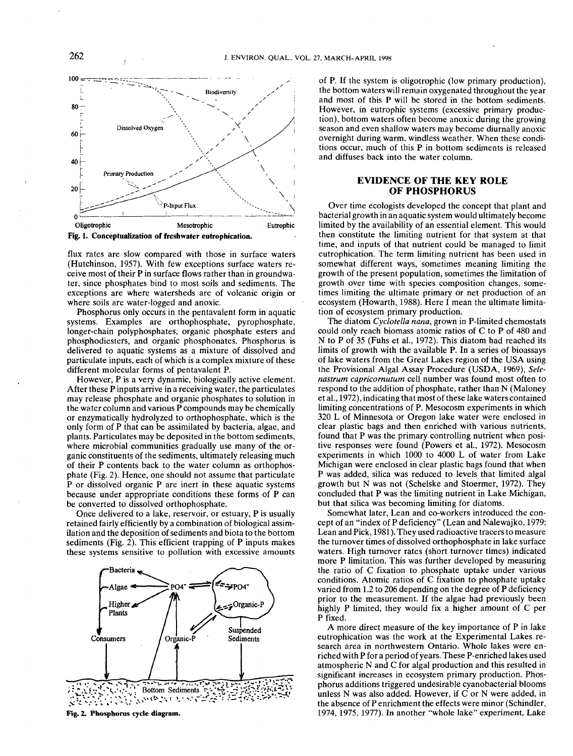



flux rates are slow compared with those in surface waters (Hutchinson, 1957). With few exceptions surface waters receive most of their P in surface flows rather than in groundwater, since phosphates bind to most soils and sediments. The exceptions are where watersheds are of volcanic origin or where soils are water-logged and anoxic.

Phosphorus only occurs in the pentavalent form in aquatic systems. Examples are orthophosphate, pyrophosphate, longer-chain polyphosphates, organic phosphate esters and phosphodiesters, and organic phosphonates. Phosphorus is delivered to aquatic systems as a mixture of dissolved and particulate inputs, each of which is a complex mixture of these different molecular forms of pentavalent P.

However, P is a very dynamic, biologically active element. After these P inputs arrive in a receiving water, the particulates may release phosphate and organic phosphates to solution in the water column and various P compounds may be chemically or enzymatically hydrolyzed to orthophosphate, which is the only form of P that can be assimilated by bacteria, algae, and plants. Particulates may be deposited in the bottom sediments, where microbial communities gradually use many of the organic constituents of the sediments, ultimately releasing much of their P contents back to the water column as orthophosphate (Fig. 2). Hence, one should not assume that particulate P or dissolved organic P are inert in these aquatic systems because under appropriate conditions these forms of P can be converted to dissolved orthophosphate.

Once delivered to a lake, reservoir, or estuary, P is usually retained fairly efficiently by a combination of biological assimilation and the deposition of sediments and biota to the bottom sediments (Fig. 2). This efficient trapping of  $P$  inputs makes these systems sensitive to pollution with excessive amounts



Fig. 2. Phosphorus cycle **diagram.**

of P. If the system is oligotrophic (low primary production), the bottom waters will remain oxygenated throughout the year and most of this P will be stored in the bottom sediments. However, in eutrophic systems (excessive primary production), bottom waters often become anoxic during the growing season and even shallow waters may become diurnally anoxic overnight during warm, windless weather. When these conditions occur, much of this P in bottom sediments is released and diffuses back into the water column.

## **EVIDENCE OF THE KEY ROLE OF PHOSPHORUS**

Over time ecologists developed the concept that plant and bacterial growth in an aquatic system would ultimately become limited by the availability of an essential element. This would then constitute the limiting nutrient for that system at that time, and inputs of that nutrient could be managed to limit eutrophication. The term limiting nutrient has been used in somewhat different ways, sometimes meaning limiting the growth of the present population, sometimes the limitation of growth over time with species composition changes, sometimes limiting the ultimate primary or net production of an ecosystem (Howarth, 1988). Here I mean the ultimate limitation of ecosystem primary production.

The diatom *Cyclotella nana,* grown in P-limited chemostats could only reach biomass atomic ratios of C to P of 480 and N to P of 35 (Fuhs et al., 1972). This diatom had reached its limits of growth with the available P. In a series of bioassays of lake waters from the Great Lakes region of the USA using the Provisional Algal Assay Procedure (USDA, 1969), *Selenastrum capricornutum* cell number was found most often to respond to the addition of phosphate, rather than N (Maloney et al., 1972), indicating that most of these lake waters contained limiting concentrations of P. Mesocosm experiments in which 320 L of Minnesota or Oregon lake water were enclosed in clear plastic bags and then enriched with various nutrients, found that P was the primary controlling nutrient when positive responses were found (Powers et al., 1972). Mesocosm experiments in which 1000 to 4000 L of water from Lake Michigan were enclosed in clear plastic bags found that when P was added, silica was reduced to levels that limited algal growth but N was not (Schelske and Stoermer, 1972). They concluded that P was the limiting nutrient in Lake Michigan, but that silica was becoming limiting for diatoms.

Somewhat later, Lean and co-workers introduced the concept of an "index of P deficiency" (Lean and Nalewajko, 1979; Lean and Pick, 1981). They used radioactive tracers to measure the turnover times of dissolved orthophosphate in lake surface waters. High turnover rates (short turnover times) indicated more P limitation. This was further developed by measuring the ratio of C fixation to phosphate uptake under various conditions. Atomic ratios of C fixation to phosphate uptake varied from 1.2 to 206 depending on the degree of P deficiency prior to the measurement. If the algae had previously been highly P limited, they would fix a higher amount of C per P fixed.

A more direct measure of the key importance of P in lake eutrophication was the work at the Experimental Lakes research area in northwestern Ontario. Whole lakes were enriched with P for a period of years. These P-enriched lakes used atmospheric N and C for algal production and this resulted in significant increases in ecosystem primary production. Phosphorus additions triggered undesirable cyanobacterial blooms unless N was also added. However, if  $\check{C}$  or N were added, in the absence of P enrichment the effects were minor (Schindler, 1974, 1975, 1977). In another "whole lake" experiment, Lake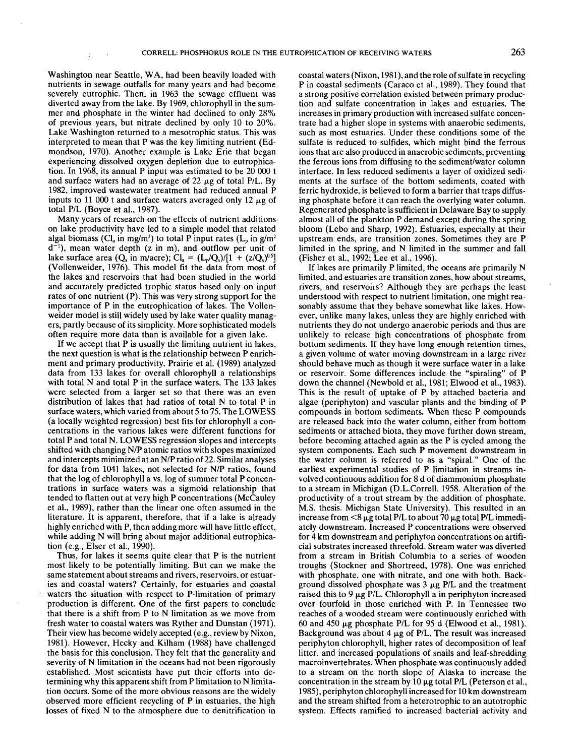Washington near Seattle, WA, had been heavily loaded with nutrients in sewage ouffalls for many years and had become severely eutrophic. Then, in 1963 the sewage effluent was diverted away from the lake. By 1969, chlorophyll in the summer and phosphate in the winter had declined to only 28% of previous years, but nitrate declined by only 10 to 20%. Lake Washington returned to a mesotrophic status. This was interpreted to mean that P was the key limiting nutrient (Edmondson, 1970). Another example is Lake Erie that began experiencing dissolved oxygen depletion due to eutrophication. In 1968, its annual P input was estimated to be 20 000 t and surface waters had an average of 22  $\mu$ g of total P/L. By 1982, improved wastewater treatment had reduced annual P inputs to 11 000 t and surface waters averaged only 12  $\mu$ g of total P/L (Boyce et al., 1987).

Many years of research on the effects of nutrient additionson lake productivity have led to a simple model that related algal biomass (Cl<sub>a</sub> in mg/m<sup>3</sup>) to total P input rates (L<sub>p</sub> in g/m<sup>2</sup>)  $d^{-1}$ ), mean water depth (z in m), and outflow per unit of lake surface area (Q<sub>s</sub> in m/acre); Cl<sub>a</sub> =  $(L_p/Q_s)/[1 + (z/Q_s)^{0.5}]$ (Vollenweider, 1976). This model fit the data from most the lakes and reservoirs that had been studied in the world and accurately predicted trophic status based only on input rates of one nutrient (P). This was very strong support for the importance of P in the eutrophication of lakes. The Vollenweider model is still widely used by lake water quality managers, partly because of its simplicity. More sophisticated models often require more data than is available for a given lake.

If we accept that P is usually the limiting nutrient in lakes, the next question is what is the relationship between P enrichment and primary productivity. Prairie et al. (1989) analyzed data from 133 lakes for overall chlorophyll a relationships with total N and total P in the surface waters. The 133 lakes were selected from a larger set so that there was an even distribution of lakes that had ratios of total N to total P in surface waters, which varied from about 5 to 75. The LOWESS (a locally weighted regression) best fits for chlorophyll a concentrations in the various lakes were different functions for total P and total N. LOWESS regression slopes and intercepts shifted with changing N/P atomic ratios with slopes maximized and intercepts minimized at an N/P ratio of 22. Similar analyses for data from 1041 lakes, not selected for N/P ratios, found that the log of chlorophyll a vs. log of summer total P concentrations in surface waters was a sigmoid relationship that tended to flatten out at very high P concentrations (McCauley et al., 1989), rather than-the linear one often assumed in the literature. It is apparent, therefore, that if a lake is already highly enriched with P, then adding more will have little effect, while adding N will bring about major additional eutrophication (e.g., Elser et al., 1990).

Thus, for lakes it seems quite clear that P is the nutrient most likely to be potentially limiting. But can we make the same statement about streams and rivers, reservoirs, or estuaries and coastal waters? Certainly, for estuaries and coastal waters the situation with respect to P-limitation of primary production is different. One of the first papers to conclude that there is a shift from P to N limitation as we move from fresh water to coastal waters was Ryther and Dunstan (1971). Their view has become widely accepted (e.g., review by Nixon, 1981). However, Hecky and Kilham (1988) have challenged the basis for this conclusion. They felt that the generality and severity of N limitation in the oceans had not been rigorously established. Most scientists have put their efforts into determining why this apparent shift from P limitation to N limitation occurs. Some of the more obvious reasons are the widely observed more efficient recycling of P in estuaries, the high losses of fixed N to the atmosphere due to denitrification in

coastal waters (Nixon, 1981), and the role of sulfate in recycling P in coastal sediments (Caraco et al., 1989). They found that a strong positive correlation existed between primary production and sulfate concentration in lakes and estuaries. The increases in primary production with increased sulfate concentrate had a higher slope in systems with anaerobic sediments, such as most estuaries. Under these conditions some of the sulfate is reduced to sulfides, which might bind the ferrous ions that are also produced in anaerobic sediments, preventing the ferrous ions from diffusing to the sediment/water column interface. In less reduced sediments a layer of oxidized sediments at the surface of the bottom sediments, coated with ferric hydroxide, is believed to form a barrier that traps diffusing phosphate before it can reach the overlying water column. Regenerated phosphate is sufficient in Delaware Bay to supply almost all of the plankton P demand except during the spring bloom (Lebo and Sharp, 1992). Estuaries, especially at their upstream ends, are transition zones. Sometimes they are P limited in the spring, and N limited in the summer and fall (Fisher et al., 1992; Lee et al., 1996).

If lakes are primarily  $P$  limited, the oceans are primarily  $N$ limited, and estuaries are transition zones, how about streams, rivers, and reservoirs? Although they are perhaps the least understood with respect to nutrient limitation, one might reasonably assume that they behave somewhat like lakes. However, unlike many lakes, unless they are highly enriched with nutrients they do not undergo anaerobic periods and thus are unlikely to release high concentrations of phosphate from bottom sediments. If they have long enough retention times, a given.volume of water moving downstream in a large river should behave much as though it were surface water in a lake or reservoir. Some differences include the "spiraling" of P down the channel (Newbold et al., 1981; Elwood et al., 1983). This is the result of uptake of P by attached bacteria and algae (periphyton) and vascular plants and the binding of compounds in bottom sediments. When these P compounds are released back into the water column, either from bottom sediments or attached biota, they move further down stream, before becoming attached again as the P is cycled among the system components. Each such P movement downstream in the water column is referred to as a "spiral." One of the earliest experimental studies of P limitation in streams involved continuous addition for 8 d of diammonium phosphate to a stream in Michigan (D.L.Correll. 1958. Alteration of the productivity of a trout stream by the addition of phosphate. M.S. thesis. Michigan State University). This resulted in an increase from  $<$ 8 µg total P/L to about 70 µg total P/L immediately downstream. Increased P concentrations were observed for 4 km downstream and periphyton concentrations on artificial substrates increased threefold. Stream water was diverted from a stream in British Columbia to a series of wooden troughs (Stockner and Shortreed, 1978). One was enriched with phosphate, one with nitrate, and one with both. Background dissolved phosphate was  $3 \mu g$  P/L and the treatment raised this to 9  $\mu$ g P/L. Chlorophyll a in periphyton increased over fourfold in those enriched with P. In Tennessee two reaches of a wooded stream were continuously enriched with 60 and 450  $\mu$ g phosphate P/L for 95 d (Elwood et al., 1981). Background was about 4  $\mu$ g of P/L. The result was increased periphyton chlorophyll, higher rates of decomposition of leaf litter, and increased populations of snails and leaf-shredding macroinvertebrates. When phosphate was continuously added to a stream on the north slope of Alaska to increase the concentration in the stream by  $10 \mu g$  total P/L (Peterson et al., 1985), periphyton chlorophyll increased for 10 km downstream and the stream shifted from a heterotrophic to an autotrophic system. Effects ramified to increased bacterial activity and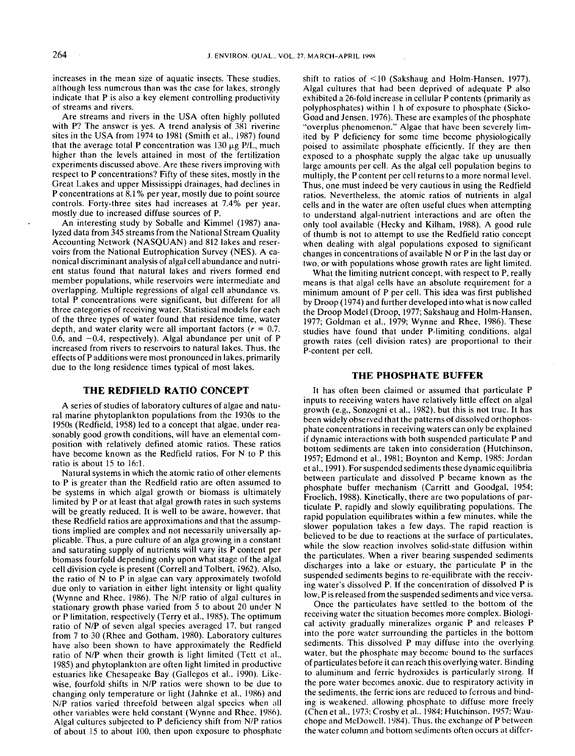increases in the mean size of aquatic insects. These studies, although less numerous than was the case for lakes, strongly indicate that P is also a key element controlling productivity of streams and rivers.

Are streams and rivers in the USA often highly polluted with P? The answer is yes. A trend analysis of 381 riverine sites in the USA from 1974 to 1981 (Smith et al., 1987) found that the average total P concentration was 130  $\mu$ g P/L, much higher than the levels attained in most of the fertilization experiments discussed above. Are these rivers improving with respect to P concentrations? Fifty of these sites, mostly in the Great Lakes and upper Mississippi drainages, had declines in P concentrations at 8.1% per year, mostly due to point source controls. Forty-three sites had increases at 7.4% per year, mostly due to increased diffuse sources of P.

An interesting study by Soballe and Kimmel (1987) analyzed data from 345 streams from the National Stream Quality Accounting Network (NASOUAN) and 812 lakes and reservoirs from the National Eutrophication Survey (NES). A canonical discriminant analysis of algal cell abundance and nutrient status found that natural lakes and rivers formed end member populations, while reservoirs were intermediate and overlapping. Multiple regressions of algal cell abundance vs. total P concentrations were significant, but different for all three categories of receiving water. Statistical models for each of the three types of water found that residence time, water depth, and water clarity were all important factors ( $r = 0.7$ . 0.6, and  $-0.4$ , respectively). Algal abundance per unit of P increased from rivers to reservoirs to natural lakes. Thus, the effects of P additions were most pronounced in lakes, primarily due to the long residence times typical of most lakes.

#### **THE REDFIELD RATIO CONCEPT**

A series of studies of laboratory cultures of algae and natural marine phytoplankton populations from the 1930s to the 1950s (Redfield, 1958) led to a concept that algae, under reasonably good growth conditions, will have an elemental composition with relatively defined atomic ratios. These ratios have become known as the Redfield ratios. For N to P this ratio is about 15 to 16:1.

Natural systems in which the atomic ratio of other elements to P is greater than the Redfield ratio are often assumed to be systems in which algal growth or biomass is ultimately limited by P or at least that algal growth rates in such systems will be greatly reduced. It is well to be aware, however, that these Redfield ratios are approximations and that the assumptions implied are complex and not necessarily universally applicable. Thus, a pure culture of an alga growing in a constant and saturating supply of nutrients will vary its P content per biomass fourfold depending only upon what stage of the algal cell division cycle is present (Correll and Tolbert, 1962). Also. the ratio of  $N$  to  $P$  in algae can vary approximately twofold due only to variation in either light intensity or light quality (Wynne and Rhee, 1986). The N/P ratio of algal cultures stationary growth phase varied from 5 to about 20 under N or P limitation, respectively (Terry et al., 1985). The optimum ratio of N/P of seven algal species averaged 17, but ranged from 7 to 30 (Rhee and Gotham, 1980). Laboratory cultures have also been shown to have approximately the Redfield ratio of N/P when their growth is light limited (Tett et al.. 1985) and phytoplankton are often light limited in productive estuaries like Chesapeake Bay (Gallegos et al., 1990). Likewise, fourfold shifts in N/P ratios were shown to be due to changing only temperature or light (Jahnke et al., 1986) and N/P ratios varied threefold between algal species when all other variables were held constant (Wynne and Rhee. 1986). Algal cultures subjected to P deficiency shift from N/P ratios of about 15 to about 100, then upon exposure to phosphate shift to ratios of <10 (Sakshaug and Holm-Hansen, 1977). Algal cultures that had been deprived of adequate P also exhibited a 26-fold increase in cellular P contents (primarily as polyphosphates) within 1 h of exposure to phosphate (Sicko-Goad and Jensen. 1976). These are examples of the phosphate "overplus phenomenon.'" Algae that have been severely limited by P deficiency for some time become physiologically poised to assimilate phosphate efficiently. If they are then exposed to a phosphate supply the algae take up unusually large amounts per cell. As the algal cell population begins to multiply, the P content per cell returns to a more normal level. Thus, one must indeed be very cautious in using the Redfield ratios. Nevertheless. the atomic ratios of nutrients in algal cells and in the water are often useful clues when attempting to understand algal-nutrient interactions and are often the only tool available (Hecky and Kilham, 1988). A good rule of thumb is not to attempt to use the Redfield ratio concept when dealing with algal populations exposed to significant changes in concentrations of available N or P in the last day or two, or with populations whose growth rates are light limited.

What the limiting nutrient concept, with respect to P, really means is that algal cells have an absolute requirement for a minimum amount of P per cell. This idea was first published by Droop (1974) and further developed into what is now called the Droop Model (Droop, 1977; Sakshaug and Holm-Hansen, 1977; Goldman et al., 1979; Wynne and Rhee, 1986). These studies have found that under P-limiting conditions, algal growth rates (cell division rates) are proportional to their P-content per cell.

#### **THE PHOSPHATE BUFFER**

It has often been claimed or assumed that particulate P inputs to receiving waters have relatively little effect on algal growth (e.g., Sonzogni et al., 1982), but this is not true. It has been widely observed that the patterns of dissolved orthophosphate concentrations in receiving waters can only be explained if dynamic interactions with both suspended particulate P and bottom sediments are taken into consideration (Hutchinson, 1957; Edmond et al., 1981; Boynton and Kemp. 1985: Jordan et al., 1991). For suspended sediments these dynamic equilibria between particulate and dissolved P became known as the phosphate buffer mechanism (Carritt and Goodgal, 1954; Froelich, 1988). Kinetically, there are two populations of particulate P, rapidly and slowly equilibrating populations. The rapid population equilibrates within a few minutes, while the slower population takes a few days. The rapid reaction is believed to be due to reactions at the surface of particulates, while the slow reaction involves solid-state diffusion within the particulates. When a river bearing suspended sediments discharges into a lake or estuary, the particulate P in the suspended sediments begins to re-equilibrate with the receiving water's dissolved P. If the concentration of dissolved P is low, P is released from the suspended sediments and vice versa.

Once the particulates have settled to the bottom of the receiving water the situation becomes more complex. Biological activity gradually mineralizes organic P and releases P into the pore water surrounding the particles in the bottom sediments. This dissolved P may diffuse into the overlying water, but the phosphate may become bound to the surfaces of particulates before it can reach this overlying water. Binding to aluminum and ferric hydroxides is particularly strong. If the pore water becomes anoxic, due to respiratory activity in the sediments, the ferric ions are reduced to ferrous and binding is weakened, allowing phosphate to diffuse more freely (Chen et al., 1973: Crosby et al.. 1984: Hutchinson. 1957: Wauchope and McDowell. 1984). Thus. the exchange of P between the water column and bottom sediments often occurs at differ-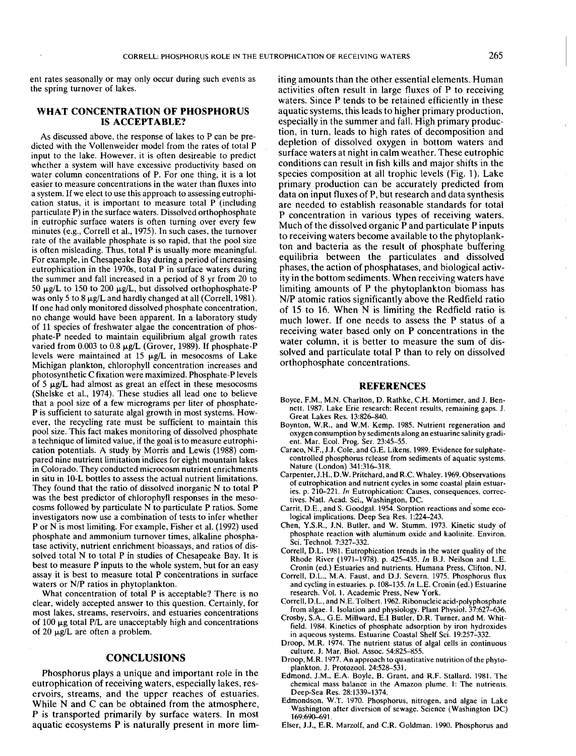ent rates seasonally or may only occur during such events as the spring turnover of lakes.

## **WHAT CONCENTRATION OF PHOSPHORUS IS ACCEPTABLE?**

As discussed above, the response of lakes to P can be predicted with the Vollenweider model from the rates of total P input to the lake. However, it is often desireable to predict whether a system will have excessive productivity based on water column concentrations of P. For one thing, it is a lot easier to measure concentrations in the water than fluxes into a system. If we elect to use this approach to assessing eutrophication status, it is important to measure total P (including paniculate P) in the surface waters. Dissolved orthophosphate in eutrophic surface waters is often turning over every few minutes (e.g., Correll et a!., 1975). In such cases, the turnover rate of the available phosphate is so rapid, that the pool size is often misleading. Thus, total P is usually more meaningful. For example, in Chesapeake Bay during a period of increasing eutrophication in the 1970s, total P in surface waters during the summer and fall increased in a period of 8 yr from 20 to 50  $\mu$ g/L to 150 to 200  $\mu$ g/L, but dissolved orthophosphate-P was only 5 to 8  $\mu$ g/L and hardly changed at all (Correll, 1981). If one had only monitored dissolved phosphate concentration, no change would have been apparent. In a laboratory study of 11 species of freshwater algae the concentration of phosphate-P needed to maintain equilibrium algal growth rates varied from  $0.003$  to  $0.8 \mu g/L$  (Grover, 1989). If phosphate-P levels were maintained at 15  $\mu$ g/L in mesocosms of Lake Michigan plankton, chlorophyll concentration increases and photosynthetic C fixation were maximized. Phosphate-P levels of 5  $\mu$ g/L had almost as great an effect in these mesocosms (Shelske et al., 1974). These studies all lead one to believe that a pool size of a few micrograms per liter of phosphate-P is sufficient to saturate algal growth in most systems. However, the recycling rate must be sufficient to maintain this pool size. This fact makes monitoring of dissolved phosphate a technique of limited value, if the goal is to measure eutrophication potentials. A study by Morris and Lewis (1988) compared nine nutrient limitation indices for eight mountain lakes in Colorado. They conducted microcosm nutrient enrichments in situ in 10-L bottles to assess the actual nutrient limitations. They found that the ratio of dissolved inorganic N to total P was the best predictor of chlorophyll responses in the mesocosms followed by paniculate N to particulate P ratios. Some investigators now use a combination of tests to infer whether P or N is most limiting. For example, Fisher et al. (1992) used phosphate and ammonium turnover times, alkaline phosphatase activity, nutrient enrichment bioassays, and ratios of dissolved total N to total P in studies of Chesapeake Bay. It is best to measure P inputs to the whole system, but for an easy assay it is best to measure total P concentrations in surface waters or N/P ratios in phytoplankton.

What concentration of total P is acceptable? There is no clear, widely accepted answer to this question. Certainly, for most lakes, streams, reservoirs, and estuaries concentrations of 100  $\mu$ g total P/L are unacceptably high and concentrations of 20  $\mu$ g/L are often a problem.

#### **CONCLUSIONS**

Phosphorus plays a unique and important role in the eutrophication of receiving waters, especially lakes, reservoirs, streams, and the upper reaches of estuaries. While N and C can be obtained from the atmosphere, P is transported primarily by surface waters. In most aquatic ecosystems P is naturally present in more limiting amounts than the other essential elements. Human activities often result in large fluxes of P to receiving waters. Since P tends to be retained efficiently in these aquatic systems, this leads to higher primary production, especially in the summer and fall. High primary production, in turn, leads to high rates of decomposition and depletion of dissolved oxygen in bottom waters and surface waters at night in calm weather. These eutrophic conditions can result in fish kills and major shifts in the species composition at all trophic levels (Fig. 1). Lake primary production can be accurately predicted from data on input fluxes of P, but research and data synthesis are needed to establish reasonable standards for total P concentration in various types of receiving waters. Much of the dissolved organic P and particulate P inputs to receiving waters become available to the phytoplankton and bacteria as the result of phosphate buffering equilibria between the particulates and dissolved phases, the action of phosphatases, and biological activity in the bottom sediments. When receiving waters have limiting amounts of P the phytoplankton biomass has N/P atomic ratios significantly above the Redfield ratio of 15 to 16. When  $N$  is limiting the Redfield ratio is much lower. If one needs to assess the P status of a receiving water based only on P concentrations in the water column, it is better to measure the sum of dissolved and particulate total P than to rely on dissolved orthophosphate concentrations.

#### **REFERENCES**

- Boyce, F.M., M.N. Charlton, D. Rathke, C.H. Mortimer, and J. Bennett. 1987. Lake Erie research: Recent results, remaining gaps. J. Great Lakes Res. 13:826-840.
- Boynton, W.R., and W.M. Kemp. 1985. Nutrient regeneration and oxygen consumption by sediments along an estuarine salinity gradient. Mar. Ecol. Prog. Ser. 23:45-55.
- Caraco, N.F., J.J. Cole, and G.E. Likens. 1989. Evidence for sulphatecontrolled phosphorus release from sediments of aquatic systems. Nature (London) 341:316-318.
- Carpenter, J.H., D.W. Pritchard, and R.C. Whaley. 1969. Observations of eutrophication and nutrient cycles in some coastal plain estuaries. p. 210-221. In Eutrophication: Causes, consequences, correctives. Natl. Acad. Sci., Washington, DC.
- Carrit, D.E., and S. Goodgal. 1954. Sorption reactions and some ecological implications. Deep Sea Res. 1:224-243.
- Chen, Y.S.R., J.N. Butler, and W. Stumm. 1973. Kinetic study of phosphate reaction with aluminum oxide and kaolinite. Environ. Sci. Technol. 7:327-332.
- Correll, D.L. 1981. Eutrophication trends in the water quality of the Rhode River (1971–1978). p. 425–435. In B.J. Neilson and L.E. Cronin (ed.) Estuaries and nutrients. Humana Press, Clifton, NJ.
- Correll, D.L., M.A. Faust, and D.J. Severn. 1975. Phosphorus flux and cycling in estuaries. p. 108-135. In L.E. Cronin (ed.) Estuarine research. Vol. 1. Academic Press, New York.
- Correll, D.L., and N.E. Tolbert. 1962. Ribonucleic acid-polyphosphate from algae. I. Isolation and physiology. Plant Physiol. 37:627-636.
- Crosby, S.A., G.E. Millward, E.I Butler, D.R. Turner, and M. Whitfield. 1984. Kinetics of phosphate adsorption by iron hydroxides in aqueous systems. Estuarine Coastal Shelf Sci. 19:257-332.
- Droop, M.R. 1974. The nutrient status of algal cells in continuous culture. J. Mar. Biol. Assoc. 54:825-855.
- Droop, M.R. 1977. An approach to quantitative nutrition of the phytoplankton. J. Protozool. 24:528-531.
- Edmond, J.M., E.A. Boyle, B. Grant, and R.F. Stallard. 1981. The chemical mass balance in the Amazon plume. I: The nutrients. Deep-Sea Res. 28:1339-1374.
- Edmondson, W.T. 1970. Phosphorus, nitrogen, and algae in Lake Washington after diversion of sewage. Science (Washington DC) 169:690-691
- Elser, J.J., E.R. Marzolf, and C.R. Goldman. 1990. Phosphorus and